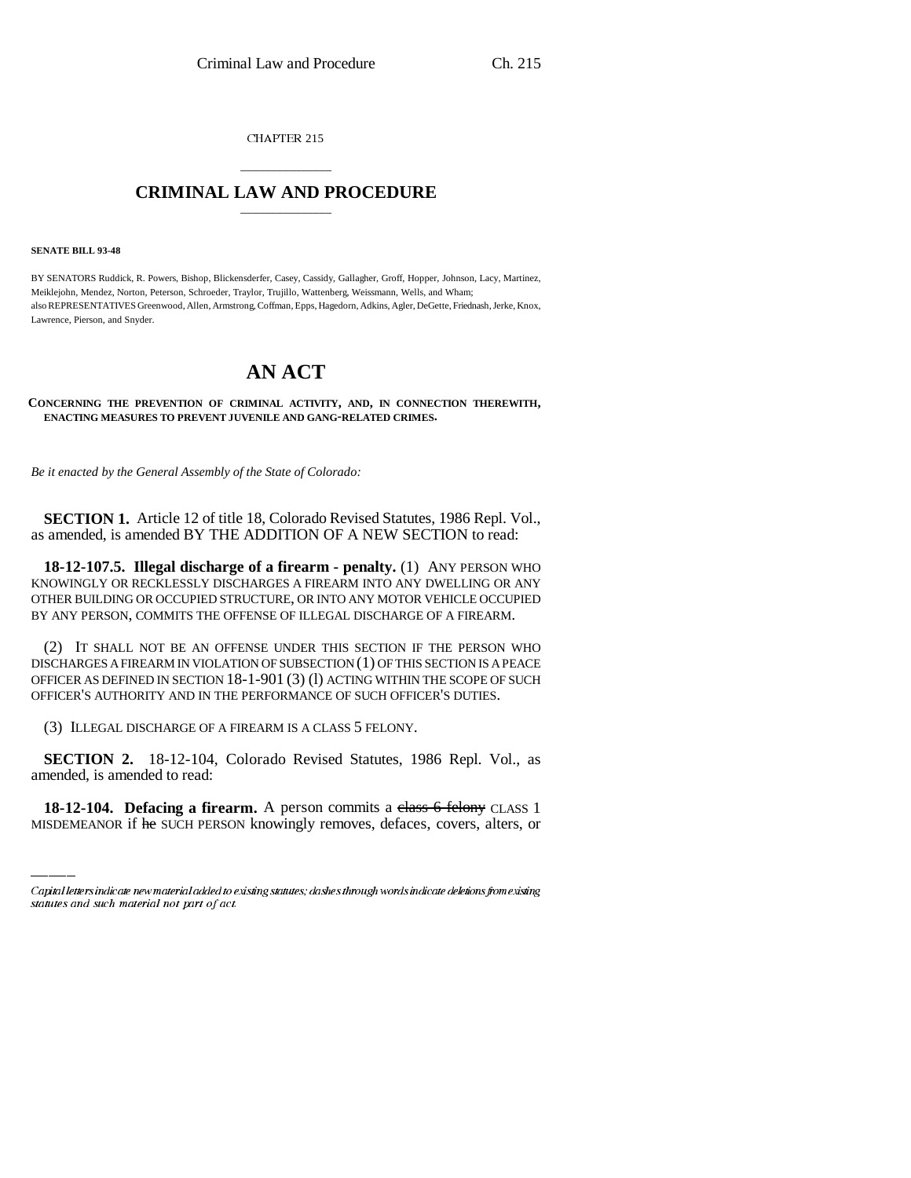CHAPTER 215

## \_\_\_\_\_\_\_\_\_\_\_\_\_\_\_ **CRIMINAL LAW AND PROCEDURE** \_\_\_\_\_\_\_\_\_\_\_\_\_\_\_

**SENATE BILL 93-48**

BY SENATORS Ruddick, R. Powers, Bishop, Blickensderfer, Casey, Cassidy, Gallagher, Groff, Hopper, Johnson, Lacy, Martinez, Meiklejohn, Mendez, Norton, Peterson, Schroeder, Traylor, Trujillo, Wattenberg, Weissmann, Wells, and Wham; also REPRESENTATIVES Greenwood, Allen, Armstrong, Coffman, Epps, Hagedorn, Adkins, Agler, DeGette, Friednash, Jerke, Knox, Lawrence, Pierson, and Snyder.

## **AN ACT**

## **CONCERNING THE PREVENTION OF CRIMINAL ACTIVITY, AND, IN CONNECTION THEREWITH, ENACTING MEASURES TO PREVENT JUVENILE AND GANG-RELATED CRIMES.**

*Be it enacted by the General Assembly of the State of Colorado:*

**SECTION 1.** Article 12 of title 18, Colorado Revised Statutes, 1986 Repl. Vol., as amended, is amended BY THE ADDITION OF A NEW SECTION to read:

**18-12-107.5. Illegal discharge of a firearm - penalty.** (1) ANY PERSON WHO KNOWINGLY OR RECKLESSLY DISCHARGES A FIREARM INTO ANY DWELLING OR ANY OTHER BUILDING OR OCCUPIED STRUCTURE, OR INTO ANY MOTOR VEHICLE OCCUPIED BY ANY PERSON, COMMITS THE OFFENSE OF ILLEGAL DISCHARGE OF A FIREARM.

(2) IT SHALL NOT BE AN OFFENSE UNDER THIS SECTION IF THE PERSON WHO DISCHARGES A FIREARM IN VIOLATION OF SUBSECTION (1) OF THIS SECTION IS A PEACE OFFICER AS DEFINED IN SECTION 18-1-901 (3) (l) ACTING WITHIN THE SCOPE OF SUCH OFFICER'S AUTHORITY AND IN THE PERFORMANCE OF SUCH OFFICER'S DUTIES.

(3) ILLEGAL DISCHARGE OF A FIREARM IS A CLASS 5 FELONY.

 **SECTION 2.** 18-12-104, Colorado Revised Statutes, 1986 Repl. Vol., as amended, is amended to read:

**18-12-104. Defacing a firearm.** A person commits a class 6 felony CLASS 1 MISDEMEANOR if he SUCH PERSON knowingly removes, defaces, covers, alters, or

Capital letters indicate new material added to existing statutes; dashes through words indicate deletions from existing statutes and such material not part of act.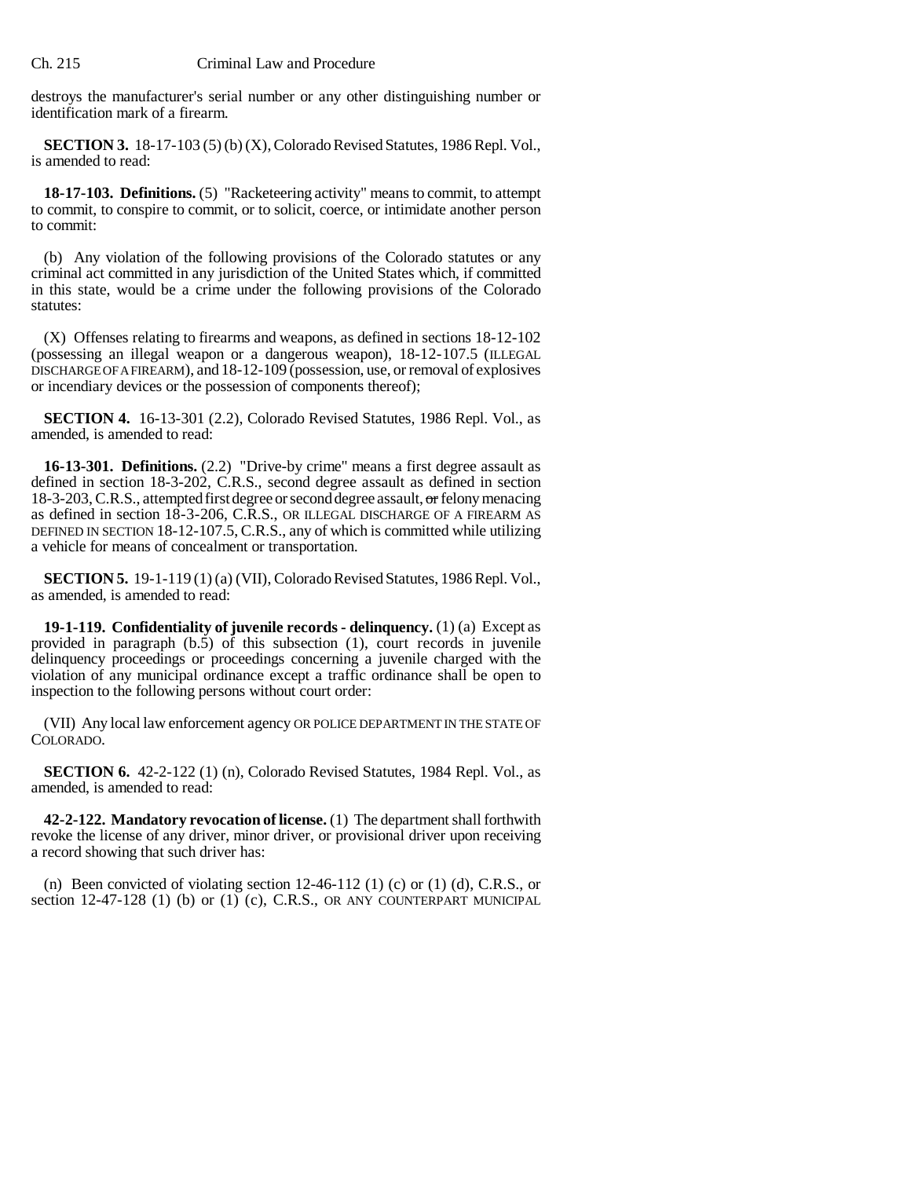destroys the manufacturer's serial number or any other distinguishing number or identification mark of a firearm.

**SECTION 3.** 18-17-103 (5) (b) (X), Colorado Revised Statutes, 1986 Repl. Vol., is amended to read:

**18-17-103. Definitions.** (5) "Racketeering activity" means to commit, to attempt to commit, to conspire to commit, or to solicit, coerce, or intimidate another person to commit:

(b) Any violation of the following provisions of the Colorado statutes or any criminal act committed in any jurisdiction of the United States which, if committed in this state, would be a crime under the following provisions of the Colorado statutes:

(X) Offenses relating to firearms and weapons, as defined in sections 18-12-102 (possessing an illegal weapon or a dangerous weapon), 18-12-107.5 (ILLEGAL DISCHARGE OF A FIREARM), and 18-12-109 (possession, use, or removal of explosives or incendiary devices or the possession of components thereof);

**SECTION 4.** 16-13-301 (2.2), Colorado Revised Statutes, 1986 Repl. Vol., as amended, is amended to read:

**16-13-301. Definitions.** (2.2) "Drive-by crime" means a first degree assault as defined in section 18-3-202, C.R.S., second degree assault as defined in section 18-3-203, C.R.S., attempted first degree or second degree assault, or felony menacing as defined in section 18-3-206, C.R.S., OR ILLEGAL DISCHARGE OF A FIREARM AS DEFINED IN SECTION 18-12-107.5, C.R.S., any of which is committed while utilizing a vehicle for means of concealment or transportation.

**SECTION 5.** 19-1-119 (1) (a) (VII), Colorado Revised Statutes, 1986 Repl. Vol., as amended, is amended to read:

**19-1-119. Confidentiality of juvenile records - delinquency.** (1) (a) Except as provided in paragraph (b.5) of this subsection (1), court records in juvenile delinquency proceedings or proceedings concerning a juvenile charged with the violation of any municipal ordinance except a traffic ordinance shall be open to inspection to the following persons without court order:

(VII) Any local law enforcement agency OR POLICE DEPARTMENT IN THE STATE OF COLORADO.

**SECTION 6.** 42-2-122 (1) (n), Colorado Revised Statutes, 1984 Repl. Vol., as amended, is amended to read:

**42-2-122. Mandatory revocation of license.** (1) The department shall forthwith revoke the license of any driver, minor driver, or provisional driver upon receiving a record showing that such driver has:

(n) Been convicted of violating section  $12-46-112$  (1) (c) or (1) (d), C.R.S., or section 12-47-128 (1) (b) or  $(1)$  (c), C.R.S., OR ANY COUNTERPART MUNICIPAL